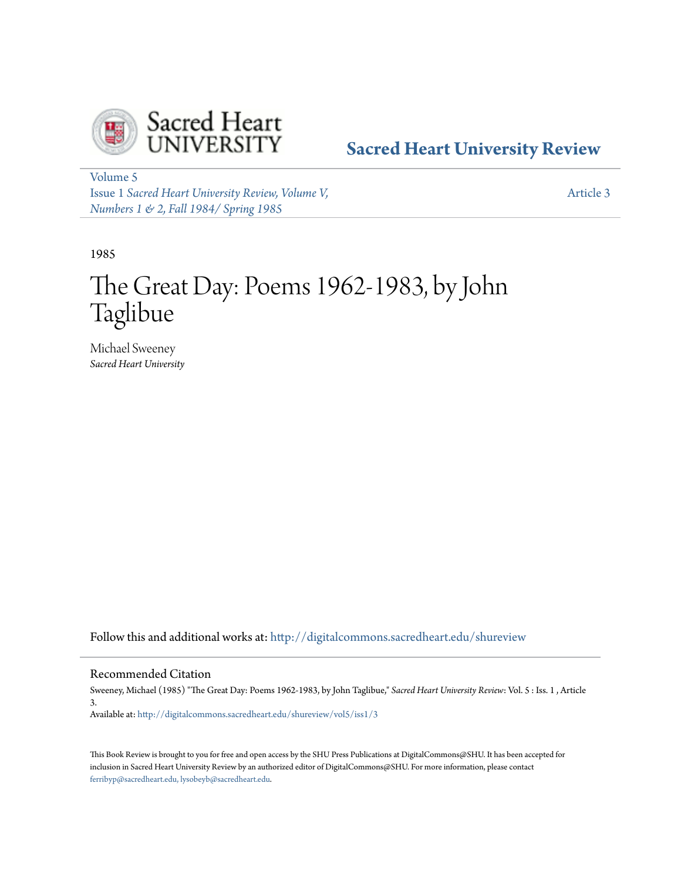

# **[Sacred Heart University Review](http://digitalcommons.sacredheart.edu/shureview?utm_source=digitalcommons.sacredheart.edu%2Fshureview%2Fvol5%2Fiss1%2F3&utm_medium=PDF&utm_campaign=PDFCoverPages)**

[Volume 5](http://digitalcommons.sacredheart.edu/shureview/vol5?utm_source=digitalcommons.sacredheart.edu%2Fshureview%2Fvol5%2Fiss1%2F3&utm_medium=PDF&utm_campaign=PDFCoverPages) Issue 1 *[Sacred Heart University Review, Volume V,](http://digitalcommons.sacredheart.edu/shureview/vol5/iss1?utm_source=digitalcommons.sacredheart.edu%2Fshureview%2Fvol5%2Fiss1%2F3&utm_medium=PDF&utm_campaign=PDFCoverPages) [Numbers 1 & 2, Fall 1984/ Spring 1985](http://digitalcommons.sacredheart.edu/shureview/vol5/iss1?utm_source=digitalcommons.sacredheart.edu%2Fshureview%2Fvol5%2Fiss1%2F3&utm_medium=PDF&utm_campaign=PDFCoverPages)*

[Article 3](http://digitalcommons.sacredheart.edu/shureview/vol5/iss1/3?utm_source=digitalcommons.sacredheart.edu%2Fshureview%2Fvol5%2Fiss1%2F3&utm_medium=PDF&utm_campaign=PDFCoverPages)

1985

# The Great Day: Poems 1962-1983, by John Taglibue

Michael Sweeney *Sacred Heart University*

Follow this and additional works at: [http://digitalcommons.sacredheart.edu/shureview](http://digitalcommons.sacredheart.edu/shureview?utm_source=digitalcommons.sacredheart.edu%2Fshureview%2Fvol5%2Fiss1%2F3&utm_medium=PDF&utm_campaign=PDFCoverPages)

# Recommended Citation

Sweeney, Michael (1985) "The Great Day: Poems 1962-1983, by John Taglibue," *Sacred Heart University Review*: Vol. 5 : Iss. 1 , Article 3.

Available at: [http://digitalcommons.sacredheart.edu/shureview/vol5/iss1/3](http://digitalcommons.sacredheart.edu/shureview/vol5/iss1/3?utm_source=digitalcommons.sacredheart.edu%2Fshureview%2Fvol5%2Fiss1%2F3&utm_medium=PDF&utm_campaign=PDFCoverPages)

This Book Review is brought to you for free and open access by the SHU Press Publications at DigitalCommons@SHU. It has been accepted for inclusion in Sacred Heart University Review by an authorized editor of DigitalCommons@SHU. For more information, please contact [ferribyp@sacredheart.edu, lysobeyb@sacredheart.edu.](mailto:ferribyp@sacredheart.edu,%20lysobeyb@sacredheart.edu)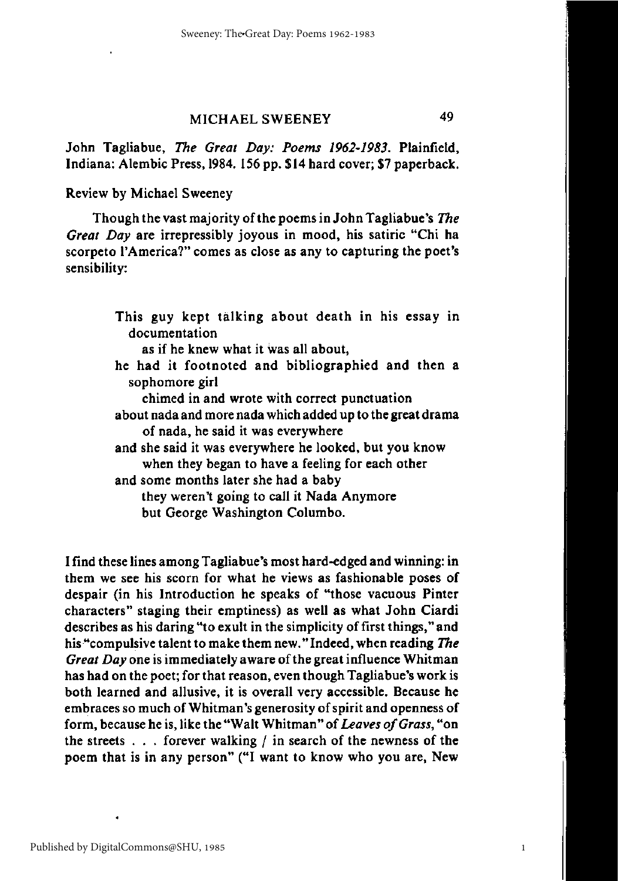# MICHAEL SWEENEY 49

John Tagliabue, *The Great Day: Poems 1962-1983.* Plainfield, Indiana: Alembic Press, 1984. 156 pp. \$14 hard cover; \$7 paperback.

Review by Michael Sweeney

Though the vast majority of the poems in John Tagliabue's *The Great Day* are irrepressibly joyous in mood, his satiric "Chi ha scorpeto 1'America?" comes as close as any to capturing the poet's sensibility:

I find these lines among Tagliabue's most hard-edged and winning: in them we see his scorn for what he views as fashionable poses of despair (in his Introduction he speaks of "those vacuous Pinter characters" staging their emptiness) as well as what John Ciardi describes as his daring "to exult in the simplicity of first things," and his "compulsive talent to make them new." Indeed, when reading *The Great Day* one is immediately aware of the great influence Whitman has had on the poet; for that reason, even though Tagliabue's work is both learned and allusive, it is overall very accessible. Because he embraces so much of Whitman's generosity of spirit and openness of form, because he is, like the "Walt Whitman" of *Leaves of Grass,* "on the streets  $\ldots$  forever walking / in search of the newness of the poem that is in any person" ("I want to know who you are, New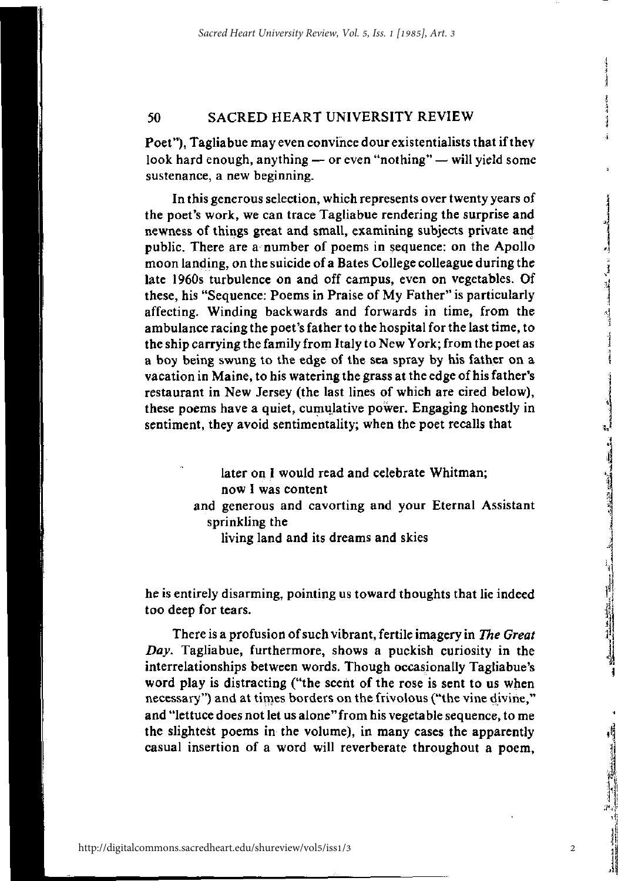#### 50 SACRED HEART UNIVERSITY REVIEW

Poet"), Tagliabue may even convince dour existentialists that if they look hard enough, anything — or even "nothing" — will yield some sustenance, a new beginning.

In this generous selection, which represents over twenty years of the poet's work, we can trace Tagliabue rendering the surprise and newness of things great and small, examining subjects private and public. There are a number of poems in sequence: on the Apollo moon landing, on the suicide of a Bates College colleague during the late 1960s turbulence on and off campus, even on vegetables. Of these, his "Sequence: Poems in Praise of My Father" is particularly affecting. Winding backwards and forwards in time, from the ambulance racing the poet's father to the hospital for the last time, to the ship carrying the family from Italy to New York; from the poet as a boy being swung to the edge of the sea spray by his father on a vacation in Maine, to his watering the grass at the edge of his father's restaurant in New Jersey (the last lines of which are cired below), these poems have a quiet, cumulative power. Engaging honestly in sentiment, they avoid sentimentality; when the poet recalls that

> later on I would read and celebrate Whitman; now I was content and generous and cavorting and your Eternal Assistant sprinkling the living land and its dreams and skies

he is entirely disarming, pointing us toward thoughts that lie indeed too deep for tears.

There is a profusion of such vibrant, fertile imagery in *The Great Day.* Tagliabue, furthermore, shows a puckish curiosity in the interrelationships between words. Though occasionally Tagliabue's word play is distracting ("the scent of the rose is sent to us when necessary") and at times borders on the frivolous ("the vine divine," and "lettuce does not let us alone"from his vegetable sequence, to me the slightest poems in the volume), in many cases the apparently casual insertion of a word will reverberate throughout a poem,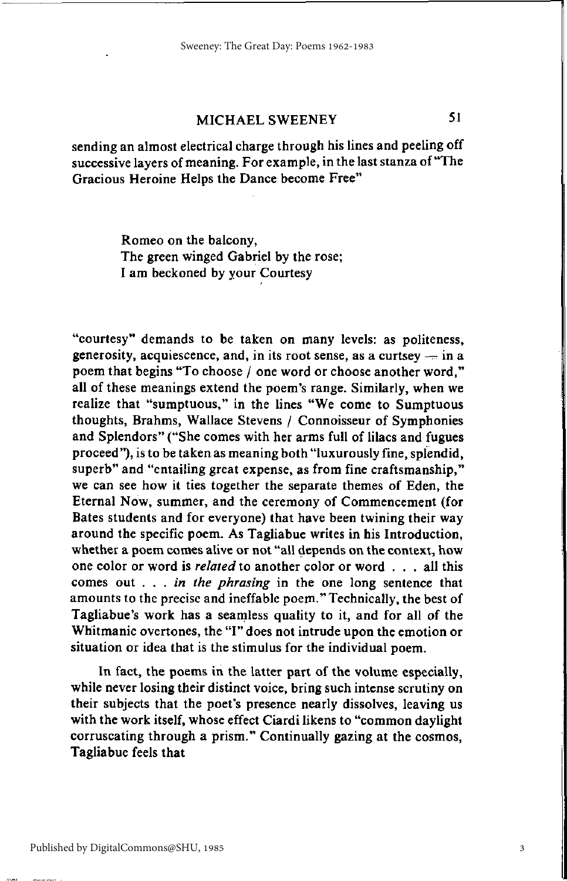# MICHAEL SWEENEY 51

sending an almost electrical charge through his lines and peeling off successive layers of meaning. For example, in the last stanza of "The Gracious Heroine Helps the Dance become Free"

> Romeo on the balcony, The green winged Gabriel by the rose; I am beckoned by your Courtesy

"courtesy" demands to be taken on many levels: as politeness, generosity, acquiescence, and, in its root sense, as a curtsey  $-$  in a poem that begins "To choose / one word or choose another word," all of these meanings extend the poem's range. Similarly, when we realize that "sumptuous," in the lines "We come to Sumptuous thoughts, Brahms, Wallace Stevens / Connoisseur of Symphonies and Splendors" ("She comes with her arms full of lilacs and fugues proceed"), is to be taken as meaning both "luxurously fine, splendid, superb" and "entailing great expense, as from fine craftsmanship," we can see how it ties together the separate themes of Eden, the Eternal Now, summer, and the ceremony of Commencement (for Bates students and for everyone) that have been twining their way around the specific poem. As Tagliabue writes in his Introduction, whether a poem comes alive or not "all depends on the context, how one color or word is *related* to another color or word . . . all this comes out *. . . in the phrasing* in the one long sentence that amounts to the precise and ineffable poem." Technically, the best of Tagliabue's work has a seamless quality to it, and for all of the Whitmanic overtones, the "I" does not intrude upon the emotion or situation or idea that is the stimulus for the individual poem.

In fact, the poems in the latter part of the volume especially, while never losing their distinct voice, bring such intense scrutiny on their subjects that the poet's presence nearly dissolves, leaving us with the work itself, whose effect Ciardi likens to "common daylight corruscating through a prism." Continually gazing at the cosmos, Tagliabue feels that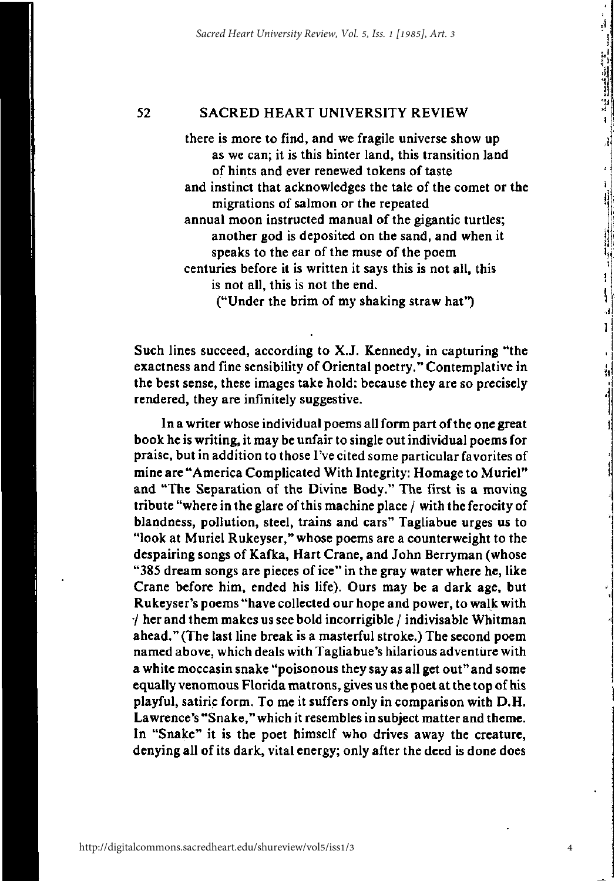#### 52 SACRED HEART UNIVERSITY REVIEW

there is more to find, and we fragile universe show up as we can; it is this hinter land, this transition land of hints and ever renewed tokens of taste and instinct that acknowledges the tale of the comet or the migrations of salmon or the repeated annual moon instructed manual of the gigantic turtles; another god is deposited on the sand, and when it speaks to the ear of the muse of the poem centuries before it is written it says this is not all, this is not all, this is not the end. ("Under the brim of my shaking straw hat")

Such lines succeed, according to X.J. Kennedy, in capturing "the exactness and fine sensibility of Oriental poetry." Contemplative in the best sense, these images take hold: because they are so precisely rendered, they are infinitely suggestive.

In a writer whose individual poems all form part of the one great book he is writing, it may be unfair to single out individual poems for praise, but in addition to those I've cited some particular favorites of mine are "America Complicated With Integrity: Homage to Muriel" and "The Separation of the Divine Body." The first is a moving tribute "where in the glare of this machine place / with the ferocity of blandness, pollution, steel, trains and cars" Tagliabue urges us to "look at Muriel Rukeyser," whose poems are a counterweight to the despairing songs of Kafka, Hart Crane, and John Berryman (whose "385 dream songs are pieces of ice" in the gray water where he, like Crane before him, ended his life). Ours may be a dark age, but Rukeyser's poems "have collected our hope and power, to walk with / her and them makes us see bold incorrigible / indivisable Whitman ahead." (The last line break is a masterful stroke.) The second poem named above, which deals with Tagliabue's hilarious adventure with a white moccasin snake "poisonous they say as all get out" and some equally venomous Florida matrons, gives us the poet at the top of his playful, satiric form. To me it suffers only in comparison with D.H. Lawrence's "Snake," which it resembles in subject matter and theme. In "Snake" it is the poet himself who drives away the creature, denying all of its dark, vital energy; only after the deed is done does

4